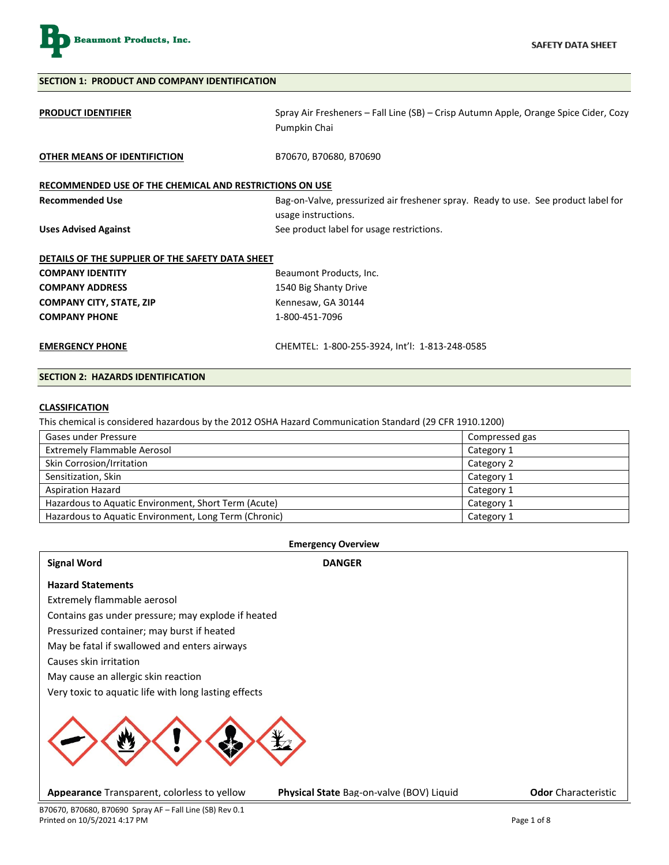

| <b>SECTION 1: PRODUCT AND COMPANY IDENTIFICATION</b>    |                                                                                                      |  |
|---------------------------------------------------------|------------------------------------------------------------------------------------------------------|--|
| <b>PRODUCT IDENTIFIER</b>                               | Spray Air Fresheners – Fall Line (SB) – Crisp Autumn Apple, Orange Spice Cider, Cozy<br>Pumpkin Chai |  |
| OTHER MEANS OF IDENTIFICTION                            | B70670, B70680, B70690                                                                               |  |
| RECOMMENDED USE OF THE CHEMICAL AND RESTRICTIONS ON USE |                                                                                                      |  |
| <b>Recommended Use</b>                                  | Bag-on-Valve, pressurized air freshener spray. Ready to use. See product label for                   |  |
|                                                         | usage instructions.                                                                                  |  |
| <b>Uses Advised Against</b>                             | See product label for usage restrictions.                                                            |  |
| DETAILS OF THE SUPPLIER OF THE SAFETY DATA SHEET        |                                                                                                      |  |
| <b>COMPANY IDENTITY</b>                                 | Beaumont Products, Inc.                                                                              |  |
| <b>COMPANY ADDRESS</b>                                  | 1540 Big Shanty Drive                                                                                |  |
| <b>COMPANY CITY, STATE, ZIP</b>                         | Kennesaw, GA 30144                                                                                   |  |
| <b>COMPANY PHONE</b>                                    | 1-800-451-7096                                                                                       |  |
| <b>EMERGENCY PHONE</b>                                  | CHEMTEL: 1-800-255-3924, Int'l: 1-813-248-0585                                                       |  |
| <b>SECTION 2: HAZARDS IDENTIFICATION</b>                |                                                                                                      |  |

#### **CLASSIFICATION**

This chemical is considered hazardous by the 2012 OSHA Hazard Communication Standard (29 CFR 1910.1200)

| Gases under Pressure                                  | Compressed gas |
|-------------------------------------------------------|----------------|
| <b>Extremely Flammable Aerosol</b>                    | Category 1     |
| Skin Corrosion/Irritation                             | Category 2     |
| Sensitization, Skin                                   | Category 1     |
| <b>Aspiration Hazard</b>                              | Category 1     |
| Hazardous to Aquatic Environment, Short Term (Acute)  | Category 1     |
| Hazardous to Aquatic Environment, Long Term (Chronic) | Category 1     |
|                                                       |                |

## **Emergency Overview Signal Word DANGER Hazard Statements** Extremely flammable aerosol Contains gas under pressure; may explode if heated Pressurized container; may burst if heated May be fatal if swallowed and enters airways Causes skin irritation May cause an allergic skin reaction Very toxic to aquatic life with long lasting effects **Appearance** Transparent, colorless to yellow **Physical State** Bag-on-valve (BOV) Liquid **Odor** Characteristic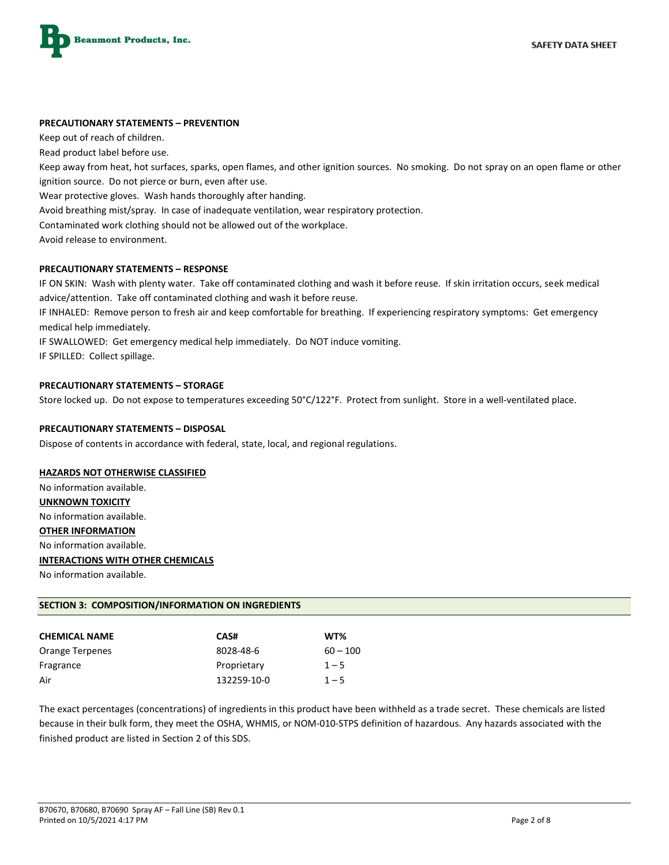

#### **PRECAUTIONARY STATEMENTS – PREVENTION**

Keep out of reach of children.

Read product label before use.

Keep away from heat, hot surfaces, sparks, open flames, and other ignition sources. No smoking. Do not spray on an open flame or other ignition source. Do not pierce or burn, even after use.

Wear protective gloves. Wash hands thoroughly after handing.

Avoid breathing mist/spray. In case of inadequate ventilation, wear respiratory protection.

Contaminated work clothing should not be allowed out of the workplace.

Avoid release to environment.

#### **PRECAUTIONARY STATEMENTS – RESPONSE**

IF ON SKIN: Wash with plenty water. Take off contaminated clothing and wash it before reuse. If skin irritation occurs, seek medical advice/attention. Take off contaminated clothing and wash it before reuse.

IF INHALED: Remove person to fresh air and keep comfortable for breathing. If experiencing respiratory symptoms: Get emergency medical help immediately.

IF SWALLOWED: Get emergency medical help immediately. Do NOT induce vomiting.

IF SPILLED: Collect spillage.

#### **PRECAUTIONARY STATEMENTS – STORAGE**

Store locked up. Do not expose to temperatures exceeding 50°C/122°F. Protect from sunlight. Store in a well-ventilated place.

#### **PRECAUTIONARY STATEMENTS – DISPOSAL**

Dispose of contents in accordance with federal, state, local, and regional regulations.

#### **HAZARDS NOT OTHERWISE CLASSIFIED**

No information available. **UNKNOWN TOXICITY** No information available. **OTHER INFORMATION** No information available. **INTERACTIONS WITH OTHER CHEMICALS**

No information available.

#### **SECTION 3: COMPOSITION/INFORMATION ON INGREDIENTS**

| <b>CHEMICAL NAME</b> | CAS#        | WT%        |
|----------------------|-------------|------------|
| Orange Terpenes      | 8028-48-6   | $60 - 100$ |
| Fragrance            | Proprietary | $1 - 5$    |
| Air                  | 132259-10-0 | $1 - 5$    |

The exact percentages (concentrations) of ingredients in this product have been withheld as a trade secret. These chemicals are listed because in their bulk form, they meet the OSHA, WHMIS, or NOM-010-STPS definition of hazardous. Any hazards associated with the finished product are listed in Section 2 of this SDS.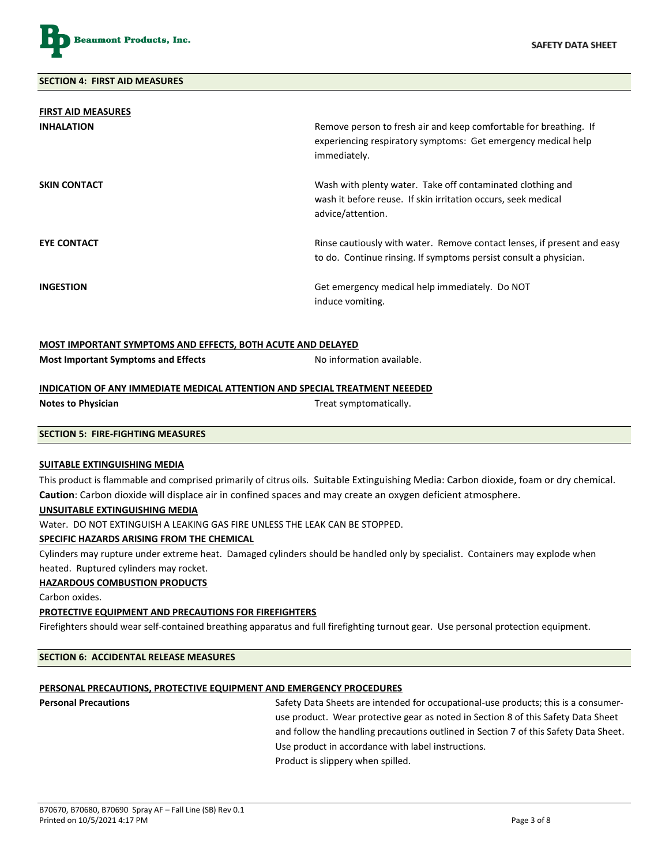

| <b>FIRST AID MEASURES</b> |                                                                                                                                                    |
|---------------------------|----------------------------------------------------------------------------------------------------------------------------------------------------|
| <b>INHALATION</b>         | Remove person to fresh air and keep comfortable for breathing. If<br>experiencing respiratory symptoms: Get emergency medical help<br>immediately. |
| <b>SKIN CONTACT</b>       | Wash with plenty water. Take off contaminated clothing and<br>wash it before reuse. If skin irritation occurs, seek medical<br>advice/attention.   |
| <b>EYE CONTACT</b>        | Rinse cautiously with water. Remove contact lenses, if present and easy<br>to do. Continue rinsing. If symptoms persist consult a physician.       |
| <b>INGESTION</b>          | Get emergency medical help immediately. Do NOT<br>induce vomiting.                                                                                 |

#### **MOST IMPORTANT SYMPTOMS AND EFFECTS, BOTH ACUTE AND DELAYED**

| No information available. |
|---------------------------|
|                           |

#### **INDICATION OF ANY IMMEDIATE MEDICAL ATTENTION AND SPECIAL TREATMENT NEEEDED**

| <b>Notes to Physician</b> |  |
|---------------------------|--|
|---------------------------|--|

Treat symptomatically.

#### **SECTION 5: FIRE-FIGHTING MEASURES**

#### **SUITABLE EXTINGUISHING MEDIA**

This product is flammable and comprised primarily of citrus oils. Suitable Extinguishing Media: Carbon dioxide, foam or dry chemical. **Caution**: Carbon dioxide will displace air in confined spaces and may create an oxygen deficient atmosphere.

#### **UNSUITABLE EXTINGUISHING MEDIA**

Water. DO NOT EXTINGUISH A LEAKING GAS FIRE UNLESS THE LEAK CAN BE STOPPED.

#### **SPECIFIC HAZARDS ARISING FROM THE CHEMICAL**

Cylinders may rupture under extreme heat. Damaged cylinders should be handled only by specialist. Containers may explode when heated. Ruptured cylinders may rocket.

#### **HAZARDOUS COMBUSTION PRODUCTS**

Carbon oxides.

#### **PROTECTIVE EQUIPMENT AND PRECAUTIONS FOR FIREFIGHTERS**

Firefighters should wear self-contained breathing apparatus and full firefighting turnout gear. Use personal protection equipment.

#### **SECTION 6: ACCIDENTAL RELEASE MEASURES**

#### **PERSONAL PRECAUTIONS, PROTECTIVE EQUIPMENT AND EMERGENCY PROCEDURES**

**Personal Precautions** Safety Data Sheets are intended for occupational-use products; this is a consumeruse product. Wear protective gear as noted in Section 8 of this Safety Data Sheet and follow the handling precautions outlined in Section 7 of this Safety Data Sheet. Use product in accordance with label instructions. Product is slippery when spilled.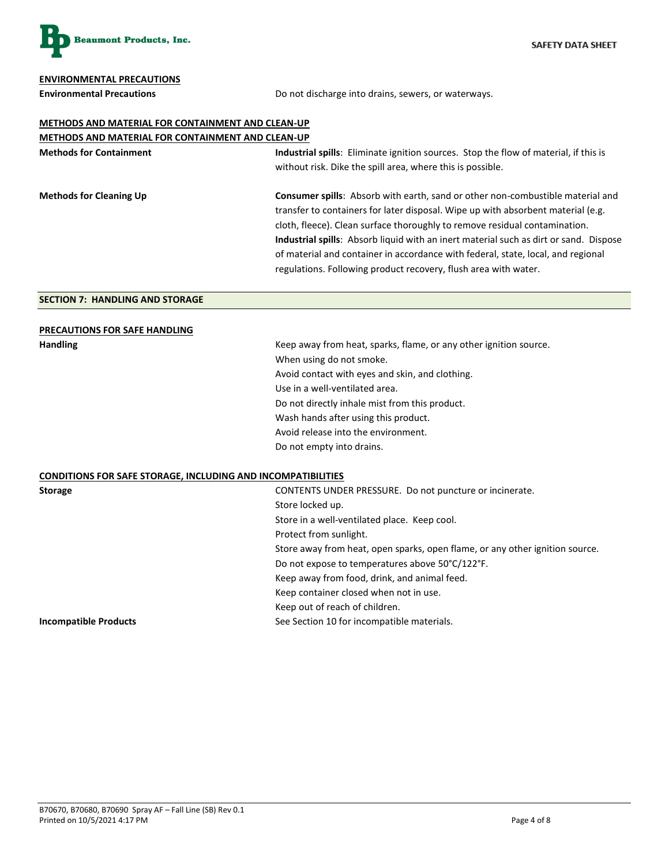

#### **ENVIRONMENTAL PRECAUTIONS**

**Environmental Precautions** Do not discharge into drains, sewers, or waterways.

## **METHODS AND MATERIAL FOR CONTAINMENT AND CLEAN-UP**

| <b>METHODS AND MATERIAL FOR CONTAINMENT AND CLEAN-UP</b>                                     |  |
|----------------------------------------------------------------------------------------------|--|
| Industrial spills: Eliminate ignition sources. Stop the flow of material, if this is         |  |
| without risk. Dike the spill area, where this is possible.                                   |  |
| Consumer spills: Absorb with earth, sand or other non-combustible material and               |  |
| transfer to containers for later disposal. Wipe up with absorbent material (e.g.             |  |
| cloth, fleece). Clean surface thoroughly to remove residual contamination.                   |  |
| <b>Industrial spills:</b> Absorb liquid with an inert material such as dirt or sand. Dispose |  |
| of material and container in accordance with federal, state, local, and regional             |  |
| regulations. Following product recovery, flush area with water.                              |  |
|                                                                                              |  |

#### **SECTION 7: HANDLING AND STORAGE**

| <b>PRECAUTIONS FOR SAFE HANDLING</b> |  |
|--------------------------------------|--|
|                                      |  |

Handling **Handling Keep away from heat, sparks, flame, or any other ignition source.** When using do not smoke. Avoid contact with eyes and skin, and clothing. Use in a well-ventilated area. Do not directly inhale mist from this product. Wash hands after using this product. Avoid release into the environment. Do not empty into drains.

### **CONDITIONS FOR SAFE STORAGE, INCLUDING AND INCOMPATIBILITIES**

| CONDITIONS FOR SAFE STORAGE, INCEDDING AND INCONITATIOIEFILS |                                                                              |  |
|--------------------------------------------------------------|------------------------------------------------------------------------------|--|
| <b>Storage</b>                                               | CONTENTS UNDER PRESSURE. Do not puncture or incinerate.                      |  |
|                                                              | Store locked up.                                                             |  |
|                                                              | Store in a well-ventilated place. Keep cool.                                 |  |
|                                                              | Protect from sunlight.                                                       |  |
|                                                              | Store away from heat, open sparks, open flame, or any other ignition source. |  |
|                                                              | Do not expose to temperatures above 50°C/122°F.                              |  |
|                                                              | Keep away from food, drink, and animal feed.                                 |  |
|                                                              | Keep container closed when not in use.                                       |  |
|                                                              | Keep out of reach of children.                                               |  |
| <b>Incompatible Products</b>                                 | See Section 10 for incompatible materials.                                   |  |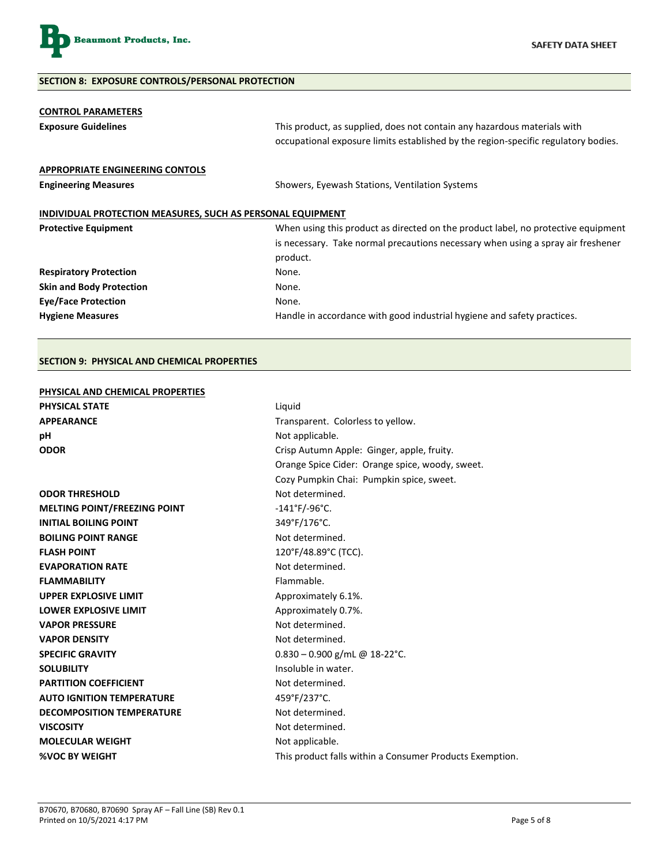

#### **SECTION 8: EXPOSURE CONTROLS/PERSONAL PROTECTION**

| <b>CONTROL PARAMETERS</b><br><b>Exposure Guidelines</b>           | This product, as supplied, does not contain any hazardous materials with<br>occupational exposure limits established by the region-specific regulatory bodies. |  |
|-------------------------------------------------------------------|----------------------------------------------------------------------------------------------------------------------------------------------------------------|--|
| <b>APPROPRIATE ENGINEERING CONTOLS</b>                            |                                                                                                                                                                |  |
| <b>Engineering Measures</b>                                       | Showers, Eyewash Stations, Ventilation Systems                                                                                                                 |  |
| <b>INDIVIDUAL PROTECTION MEASURES, SUCH AS PERSONAL EQUIPMENT</b> |                                                                                                                                                                |  |
| <b>Protective Equipment</b>                                       | When using this product as directed on the product label, no protective equipment                                                                              |  |
|                                                                   | is necessary. Take normal precautions necessary when using a spray air freshener                                                                               |  |
|                                                                   | product.                                                                                                                                                       |  |
| <b>Respiratory Protection</b>                                     | None.                                                                                                                                                          |  |
| <b>Skin and Body Protection</b>                                   | None.                                                                                                                                                          |  |
| <b>Eye/Face Protection</b>                                        | None.                                                                                                                                                          |  |
| <b>Hygiene Measures</b>                                           | Handle in accordance with good industrial hygiene and safety practices.                                                                                        |  |

#### **SECTION 9: PHYSICAL AND CHEMICAL PROPERTIES**

#### **PHYSICAL AND CHEMICAL PROPERTIES**

| <b>PHYSICAL STATE</b>               | Liquid                                                   |  |  |
|-------------------------------------|----------------------------------------------------------|--|--|
| <b>APPEARANCE</b>                   | Transparent. Colorless to yellow.                        |  |  |
| рH                                  | Not applicable.                                          |  |  |
| <b>ODOR</b>                         | Crisp Autumn Apple: Ginger, apple, fruity.               |  |  |
|                                     | Orange Spice Cider: Orange spice, woody, sweet.          |  |  |
|                                     | Cozy Pumpkin Chai: Pumpkin spice, sweet.                 |  |  |
| <b>ODOR THRESHOLD</b>               | Not determined.                                          |  |  |
| <b>MELTING POINT/FREEZING POINT</b> | $-141^{\circ}$ F/-96°C.                                  |  |  |
| <b>INITIAL BOILING POINT</b>        | 349°F/176°C.                                             |  |  |
| <b>BOILING POINT RANGE</b>          | Not determined.                                          |  |  |
| <b>FLASH POINT</b>                  | 120°F/48.89°C (TCC).                                     |  |  |
| <b>EVAPORATION RATE</b>             | Not determined.                                          |  |  |
| <b>FLAMMABILITY</b>                 | Flammable.                                               |  |  |
| <b>UPPER EXPLOSIVE LIMIT</b>        | Approximately 6.1%.                                      |  |  |
| <b>LOWER EXPLOSIVE LIMIT</b>        | Approximately 0.7%.                                      |  |  |
| <b>VAPOR PRESSURE</b>               | Not determined.                                          |  |  |
| <b>VAPOR DENSITY</b>                | Not determined.                                          |  |  |
| <b>SPECIFIC GRAVITY</b>             | $0.830 - 0.900$ g/mL @ 18-22°C.                          |  |  |
| <b>SOLUBILITY</b>                   | Insoluble in water.                                      |  |  |
| <b>PARTITION COEFFICIENT</b>        | Not determined.                                          |  |  |
| <b>AUTO IGNITION TEMPERATURE</b>    | 459°F/237°C.                                             |  |  |
| <b>DECOMPOSITION TEMPERATURE</b>    | Not determined.                                          |  |  |
| <b>VISCOSITY</b>                    | Not determined.                                          |  |  |
| <b>MOLECULAR WEIGHT</b>             | Not applicable.                                          |  |  |
| <b>%VOC BY WEIGHT</b>               | This product falls within a Consumer Products Exemption. |  |  |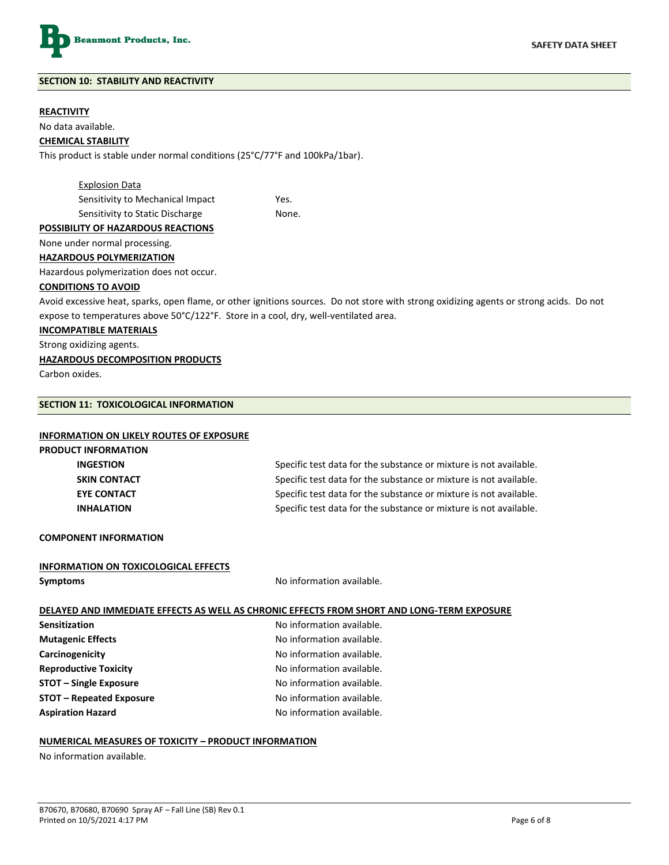

#### **SECTION 10: STABILITY AND REACTIVITY**

#### **REACTIVITY**

No data available.

#### **CHEMICAL STABILITY**

This product is stable under normal conditions (25°C/77°F and 100kPa/1bar).

Explosion Data Sensitivity to Mechanical Impact Yes. Sensitivity to Static Discharge None.

#### **POSSIBILITY OF HAZARDOUS REACTIONS**

None under normal processing.

#### **HAZARDOUS POLYMERIZATION**

Hazardous polymerization does not occur.

#### **CONDITIONS TO AVOID**

Avoid excessive heat, sparks, open flame, or other ignitions sources. Do not store with strong oxidizing agents or strong acids. Do not expose to temperatures above 50°C/122°F. Store in a cool, dry, well-ventilated area.

#### **INCOMPATIBLE MATERIALS**

Strong oxidizing agents.

#### **HAZARDOUS DECOMPOSITION PRODUCTS**

Carbon oxides.

#### **SECTION 11: TOXICOLOGICAL INFORMATION**

#### **INFORMATION ON LIKELY ROUTES OF EXPOSURE**

# **PRODUCT INFORMATION**

**INGESTION** Specific test data for the substance or mixture is not available. **SKIN CONTACT** Specific test data for the substance or mixture is not available. **EYE CONTACT** Specific test data for the substance or mixture is not available. **INHALATION Specific test data for the substance or mixture is not available.** 

**COMPONENT INFORMATION**

#### **INFORMATION ON TOXICOLOGICAL EFFECTS**

**Symptoms** No information available.

#### **DELAYED AND IMMEDIATE EFFECTS AS WELL AS CHRONIC EFFECTS FROM SHORT AND LONG-TERM EXPOSURE**

**Mutagenic Effects No information available. Carcinogenicity Carcinogenicity No information available. Reproductive Toxicity No information available. STOT – Single Exposure No information available. STOT – Repeated Exposure No information available. Aspiration Hazard**  No information available.

**Sensitization** No information available.

#### **NUMERICAL MEASURES OF TOXICITY – PRODUCT INFORMATION**

No information available.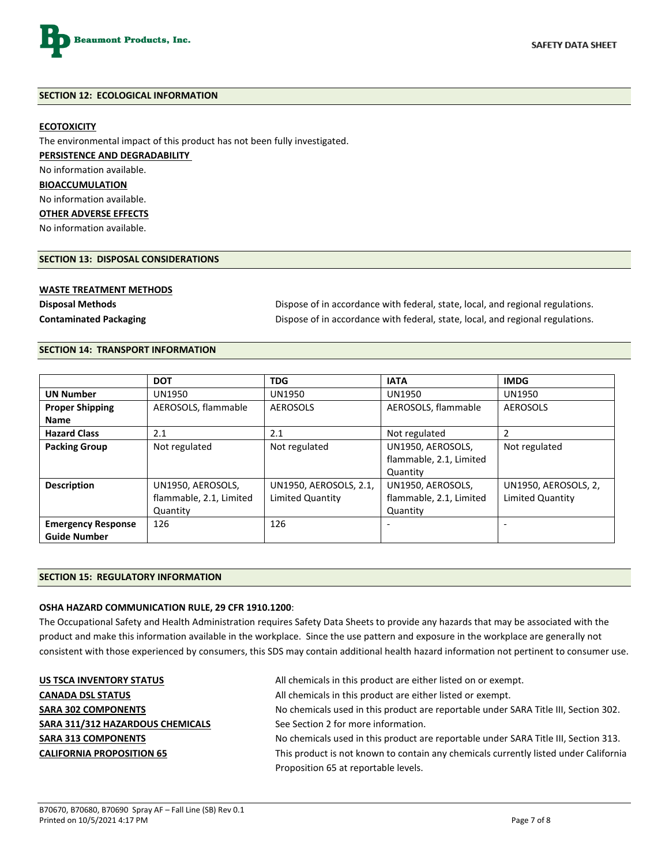

#### **SECTION 12: ECOLOGICAL INFORMATION**

#### **ECOTOXICITY**

The environmental impact of this product has not been fully investigated. **PERSISTENCE AND DEGRADABILITY**  No information available. **BIOACCUMULATION** No information available. **OTHER ADVERSE EFFECTS**

No information available.

#### **SECTION 13: DISPOSAL CONSIDERATIONS**

#### **WASTE TREATMENT METHODS**

**Disposal Methods** Dispose of in accordance with federal, state, local, and regional regulations. **Contaminated Packaging Contaminated Packaging Dispose of in accordance with federal, state, local, and regional regulations.** 

#### **SECTION 14: TRANSPORT INFORMATION**

|                           | <b>DOT</b>              | <b>TDG</b>             | <b>IATA</b>             | <b>IMDG</b>          |
|---------------------------|-------------------------|------------------------|-------------------------|----------------------|
| <b>UN Number</b>          | <b>UN1950</b>           | UN1950                 | UN1950                  | <b>UN1950</b>        |
| <b>Proper Shipping</b>    | AEROSOLS, flammable     | <b>AEROSOLS</b>        | AEROSOLS, flammable     | AEROSOLS             |
| <b>Name</b>               |                         |                        |                         |                      |
| <b>Hazard Class</b>       | 2.1                     | 2.1                    | Not regulated           |                      |
| <b>Packing Group</b>      | Not regulated           | Not regulated          | UN1950, AEROSOLS,       | Not regulated        |
|                           |                         |                        | flammable, 2.1, Limited |                      |
|                           |                         |                        | Quantity                |                      |
| <b>Description</b>        | UN1950, AEROSOLS,       | UN1950, AEROSOLS, 2.1, | UN1950, AEROSOLS,       | UN1950, AEROSOLS, 2, |
|                           | flammable, 2.1, Limited | Limited Quantity       | flammable, 2.1, Limited | Limited Quantity     |
|                           | Quantity                |                        | Quantity                |                      |
| <b>Emergency Response</b> | 126                     | 126                    |                         |                      |
| <b>Guide Number</b>       |                         |                        |                         |                      |

#### **SECTION 15: REGULATORY INFORMATION**

#### **OSHA HAZARD COMMUNICATION RULE, 29 CFR 1910.1200**:

The Occupational Safety and Health Administration requires Safety Data Sheets to provide any hazards that may be associated with the product and make this information available in the workplace. Since the use pattern and exposure in the workplace are generally not consistent with those experienced by consumers, this SDS may contain additional health hazard information not pertinent to consumer use.

SARA 311/312 HAZARDOUS CHEMICALS See Section 2 for more information.

**US TSCA INVENTORY STATUS** All chemicals in this product are either listed on or exempt.

**CANADA DSL STATUS CANADA DSL STATUS All chemicals in this product are either listed or exempt.** 

SARA 302 COMPONENTS **No chemicals used in this product are reportable under SARA Title III, Section 302.** 

SARA 313 COMPONENTS **No chemicals used in this product are reportable under SARA Title III, Section 313. CALIFORNIA PROPOSITION 65** This product is not known to contain any chemicals currently listed under California Proposition 65 at reportable levels.